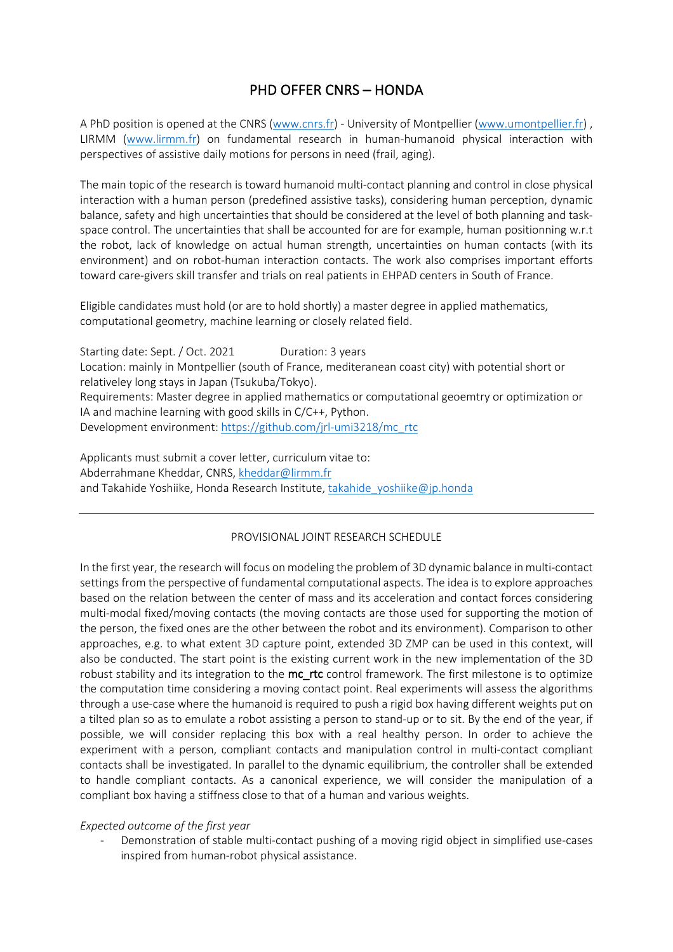# PHD OFFER CNRS – HONDA

A PhD position is opened at the CNRS (www.cnrs.fr) - University of Montpellier (www.umontpellier.fr) , LIRMM (www.lirmm.fr) on fundamental research in human-humanoid physical interaction with perspectives of assistive daily motions for persons in need (frail, aging).

The main topic of the research is toward humanoid multi-contact planning and control in close physical interaction with a human person (predefined assistive tasks), considering human perception, dynamic balance, safety and high uncertainties that should be considered at the level of both planning and taskspace control. The uncertainties that shall be accounted for are for example, human positionning w.r.t the robot, lack of knowledge on actual human strength, uncertainties on human contacts (with its environment) and on robot-human interaction contacts. The work also comprises important efforts toward care-givers skill transfer and trials on real patients in EHPAD centers in South of France.

Eligible candidates must hold (or are to hold shortly) a master degree in applied mathematics, computational geometry, machine learning or closely related field.

Starting date: Sept. / Oct. 2021 Duration: 3 years Location: mainly in Montpellier (south of France, mediteranean coast city) with potential short or relativeley long stays in Japan (Tsukuba/Tokyo). Requirements: Master degree in applied mathematics or computational geoemtry or optimization or IA and machine learning with good skills in C/C++, Python. Development environment: https://github.com/jrl-umi3218/mc\_rtc

Applicants must submit a cover letter, curriculum vitae to: Abderrahmane Kheddar, CNRS, kheddar@lirmm.fr and Takahide Yoshiike, Honda Research Institute, takahide\_yoshiike@jp.honda

### PROVISIONAL JOINT RESEARCH SCHEDULE

In the first year, the research will focus on modeling the problem of 3D dynamic balance in multi-contact settings from the perspective of fundamental computational aspects. The idea is to explore approaches based on the relation between the center of mass and its acceleration and contact forces considering multi-modal fixed/moving contacts (the moving contacts are those used for supporting the motion of the person, the fixed ones are the other between the robot and its environment). Comparison to other approaches, e.g. to what extent 3D capture point, extended 3D ZMP can be used in this context, will also be conducted. The start point is the existing current work in the new implementation of the 3D robust stability and its integration to the mc\_rtc control framework. The first milestone is to optimize the computation time considering a moving contact point. Real experiments will assess the algorithms through a use-case where the humanoid is required to push a rigid box having different weights put on a tilted plan so as to emulate a robot assisting a person to stand-up or to sit. By the end of the year, if possible, we will consider replacing this box with a real healthy person. In order to achieve the experiment with a person, compliant contacts and manipulation control in multi-contact compliant contacts shall be investigated. In parallel to the dynamic equilibrium, the controller shall be extended to handle compliant contacts. As a canonical experience, we will consider the manipulation of a compliant box having a stiffness close to that of a human and various weights.

### *Expected outcome of the first year*

Demonstration of stable multi-contact pushing of a moving rigid object in simplified use-cases inspired from human-robot physical assistance.